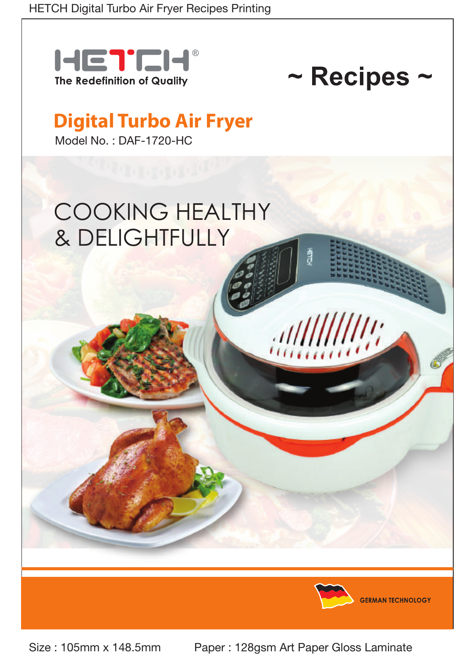



# **Digital Turbo Air Fryer**

Model No. : DAF-1720-HC

# COOKING HEALTHY & DELIGHTFULLY



**GERMAN TECHNOLOGY** 

Size : 105mm x 148.5mm Paper : 128gsm Art Paper Gloss Laminate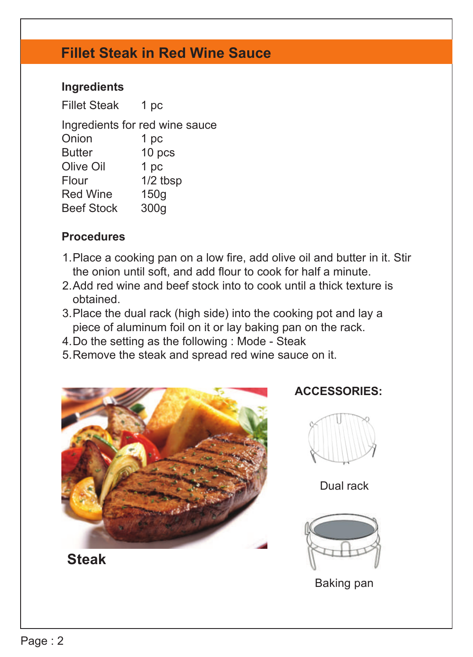## **Fillet Steak in Red Wine Sauce**

#### **Ingredients**

Fillet Steak Ingredients for red wine sauce Onion Butter Olive Oil Flour Red Wine Beef Stock 1 pc 1 pc 10 pcs 1 pc 1/2 tbsp 150g 300g

#### **Procedures**

- 1. Place a cooking pan on a low fire, add olive oil and butter in it. Stir the onion until soft, and add flour to cook for half a minute.
- 2. Add red wine and beef stock into to cook until a thick texture is obtained.
- 3. Place the dual rack (high side) into the cooking pot and lay a piece of aluminum foil on it or lay baking pan on the rack.
- 4.Do the setting as the following : Mode Steak
- 5. Remove the steak and spread red wine sauce on it.



**Steak**

**ACCESSORIES:**



Dual rack



Baking pan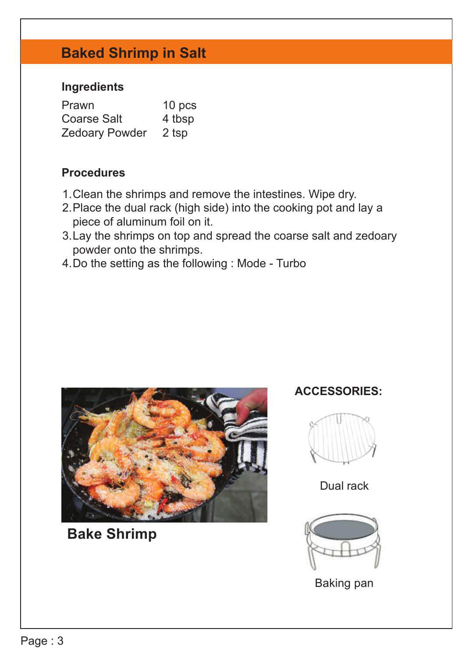# **Baked Shrimp in Salt**

#### **Ingredients**

| Prawn              | 10 pcs |
|--------------------|--------|
| <b>Coarse Salt</b> | 4 tbsp |
| Zedoary Powder     | 2 tsp  |

#### **Procedures**

- 1. Clean the shrimps and remove the intestines. Wipe dry.
- 2.Place the dual rack (high side) into the cooking pot and lay a piece of aluminum foil on it.
- 3. Lay the shrimps on top and spread the coarse salt and zedoary powder onto the shrimps.
- 4.Do the setting as the following : Mode Turbo



**Bake Shrimp**

#### **ACCESSORIES:**



Dual rack



Baking pan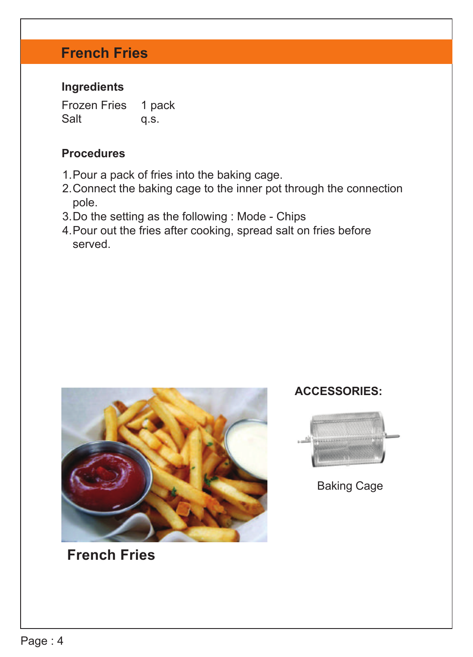# **French Fries**

#### **Ingredients**

Frozen Fries Salt 1 pack q.s.

#### **Procedures**

- 1. Pour a pack of fries into the baking cage.
- 2. Connect the baking cage to the inner pot through the connection pole.
- 3.Do the setting as the following : Mode Chips
- Pour out the fries after cooking, spread salt on fries before 4. served.



**French Fries**

#### **ACCESSORIES:**



Baking Cage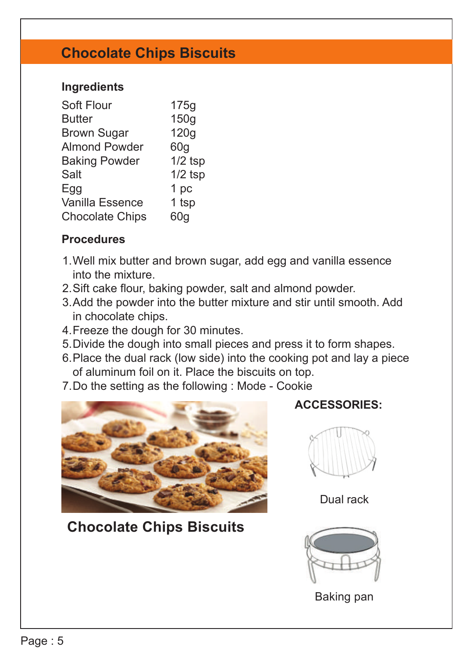## **Chocolate Chips Biscuits**

#### **Ingredients**

| 175q      |
|-----------|
| 150g      |
| 120g      |
| 60q       |
| $1/2$ tsp |
| $1/2$ tsp |
| 1 pc      |
| 1 tsp     |
| 60a       |
|           |

#### **Procedures**

- Well mix butter and brown sugar, add egg and vanilla essence 1. into the mixture.
- 2. Sift cake flour, baking powder, salt and almond powder.
- Add the powder into the butter mixture and stir until smooth. Add 3. in chocolate chips.
- Freeze the dough for 30 minutes. 4.
- 5. Divide the dough into small pieces and press it to form shapes.
- 6. Place the dual rack (low side) into the cooking pot and lay a piece of aluminum foil on it. Place the biscuits on top.
- 7.Do the setting as the following : Mode Cookie



# **Chocolate Chips Biscuits**

#### **ACCESSORIES:**



Dual rack



Baking pan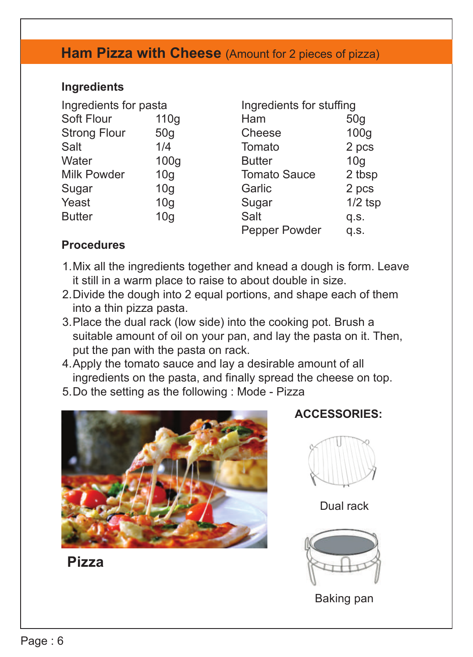### **Ham Pizza with Cheese** (Amount for 2 pieces of pizza)

#### **Ingredients**

| Ingredients for pasta |                 |                     | Ingredients for stuffing |  |
|-----------------------|-----------------|---------------------|--------------------------|--|
| Soft Flour            | 110q            | Ham                 | 50q                      |  |
| <b>Strong Flour</b>   | 50q             | Cheese              | 100 <sub>g</sub>         |  |
| Salt                  | 1/4             | Tomato              | 2 pcs                    |  |
| Water                 | 100q            | <b>Butter</b>       | 10q                      |  |
| Milk Powder           | 10q             | <b>Tomato Sauce</b> | 2 tbsp                   |  |
| Sugar                 | 10 <sub>q</sub> | Garlic              | 2 pcs                    |  |
| Yeast                 | 10 <sub>q</sub> | Sugar               | $1/2$ tsp                |  |
| <b>Butter</b>         | 10 <sub>q</sub> | Salt                | q.s.                     |  |
|                       |                 | Pepper Powder       | q.s.                     |  |

#### **Procedures**

- Mix all the ingredients together and knead a dough is form. Leave 1. it still in a warm place to raise to about double in size.
- 2. Divide the dough into 2 equal portions, and shape each of them into a thin pizza pasta.
- 3. Place the dual rack (low side) into the cooking pot. Brush a suitable amount of oil on your pan, and lay the pasta on it. Then, put the pan with the pasta on rack.
- 4. Apply the tomato sauce and lay a desirable amount of all ingredients on the pasta, and finally spread the cheese on top.
- 5.Do the setting as the following : Mode Pizza



**Pizza**

**ACCESSORIES:**



Dual rack



Baking pan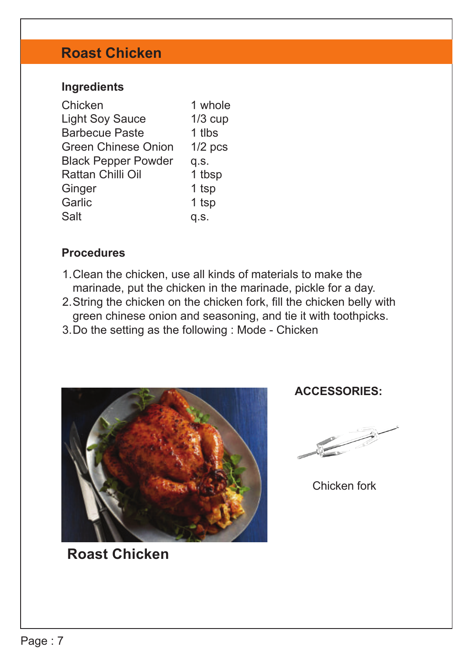# **Roast Chicken**

#### **Ingredients**

| Chicken                    | 1 whole   |
|----------------------------|-----------|
| <b>Light Soy Sauce</b>     | $1/3$ cup |
| <b>Barbecue Paste</b>      | 1 tlbs    |
| Green Chinese Onion        | $1/2$ pcs |
| <b>Black Pepper Powder</b> | q.s.      |
| Rattan Chilli Oil          | 1 tbsp    |
| Ginger                     | 1 tsp     |
| Garlic                     | 1 tsp     |
| Salt                       | q.s.      |

#### **Procedures**

- Clean the chicken, use all kinds of materials to make the 1. marinade, put the chicken in the marinade, pickle for a day.
- 2. String the chicken on the chicken fork, fill the chicken belly with green chinese onion and seasoning, and tie it with toothpicks.
- 3.Do the setting as the following : Mode Chicken



**Roast Chicken**

#### **ACCESSORIES:**



Chicken fork